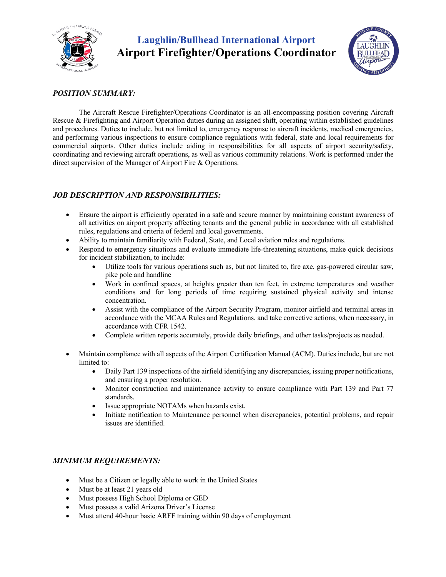

## **Laughlin/Bullhead International Airport Airport Firefighter/Operations Coordinator**



### *POSITION SUMMARY:*

The Aircraft Rescue Firefighter/Operations Coordinator is an all-encompassing position covering Aircraft Rescue & Firefighting and Airport Operation duties during an assigned shift, operating within established guidelines and procedures. Duties to include, but not limited to, emergency response to aircraft incidents, medical emergencies, and performing various inspections to ensure compliance regulations with federal, state and local requirements for commercial airports. Other duties include aiding in responsibilities for all aspects of airport security/safety, coordinating and reviewing aircraft operations, as well as various community relations. Work is performed under the direct supervision of the Manager of Airport Fire & Operations.

### *JOB DESCRIPTION AND RESPONSIBILITIES:*

- Ensure the airport is efficiently operated in a safe and secure manner by maintaining constant awareness of all activities on airport property affecting tenants and the general public in accordance with all established rules, regulations and criteria of federal and local governments.
- Ability to maintain familiarity with Federal, State, and Local aviation rules and regulations.
- Respond to emergency situations and evaluate immediate life-threatening situations, make quick decisions for incident stabilization, to include:
	- Utilize tools for various operations such as, but not limited to, fire axe, gas-powered circular saw, pike pole and handline
	- Work in confined spaces, at heights greater than ten feet, in extreme temperatures and weather conditions and for long periods of time requiring sustained physical activity and intense concentration.
	- Assist with the compliance of the Airport Security Program, monitor airfield and terminal areas in accordance with the MCAA Rules and Regulations, and take corrective actions, when necessary, in accordance with CFR 1542.
	- Complete written reports accurately, provide daily briefings, and other tasks/projects as needed.
- Maintain compliance with all aspects of the Airport Certification Manual (ACM). Duties include, but are not limited to:
	- Daily Part 139 inspections of the airfield identifying any discrepancies, issuing proper notifications, and ensuring a proper resolution.
	- Monitor construction and maintenance activity to ensure compliance with Part 139 and Part 77 standards.
	- Issue appropriate NOTAMs when hazards exist.
	- Initiate notification to Maintenance personnel when discrepancies, potential problems, and repair issues are identified.

### *MINIMUM REQUIREMENTS:*

- Must be a Citizen or legally able to work in the United States
- Must be at least 21 years old
- Must possess High School Diploma or GED
- Must possess a valid Arizona Driver's License
- Must attend 40-hour basic ARFF training within 90 days of employment